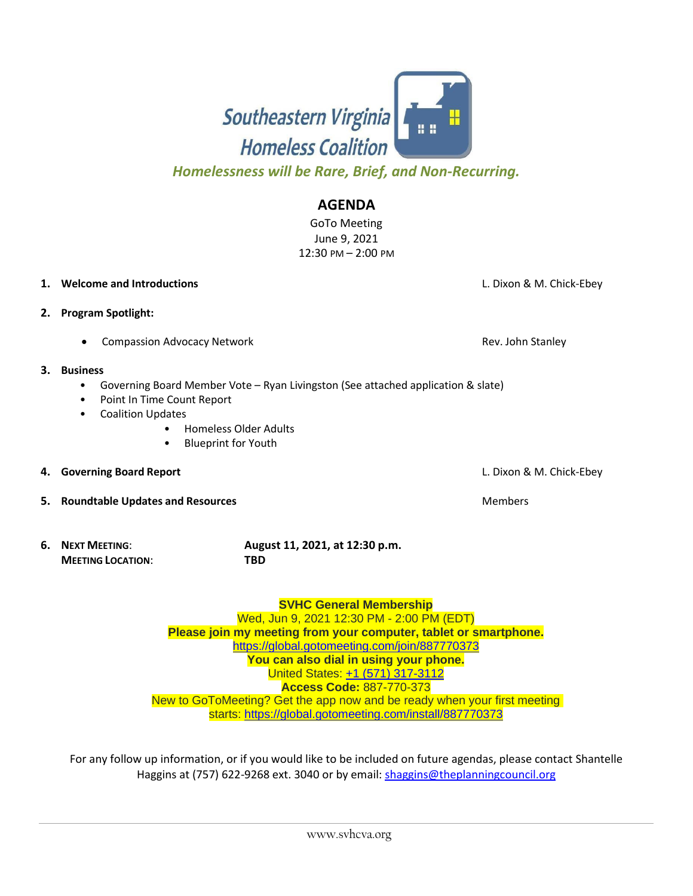

**SVHC General Membership** Wed, Jun 9, 2021 12:30 PM - 2:00 PM (EDT) **Please join my meeting from your computer, tablet or smartphone.** <https://global.gotomeeting.com/join/887770373> **You can also dial in using your phone.** United States: [+1 \(571\) 317-3112](tel:+15713173112,,887770373)

**Compassion Advocacy Network Rev. John Stanley Rev. John Stanley** 

## **3. Business**

**2. Program Spotlight:** 

- Governing Board Member Vote Ryan Livingston (See attached application & slate)
- 
- Point In Time Count Report
- Coalition Updates
	- Homeless Older Adults
	- Blueprint for Youth
- **4. Governing Board Report** L. Dixon & M. Chick-Ebey
- **5.** Roundtable Updates and Resources Members and Resources Members and Resources
- **6. NEXT MEETING**: **August 11, 2021, at 12:30 p.m. MEETING LOCATION**: **TBD**

*Homelessness will be Rare, Brief, and Non-Recurring.*

June 9, 2021 12:30 PM – 2:00 PM

**AGENDA** GoTo Meeting

**1. Welcome and Introductions** L. Dixon & M. Chick-Ebey

**Access Code:** 887-770-373

New to GoToMeeting? Get the app now and be ready when your first meeting starts: <https://global.gotomeeting.com/install/887770373>

For any follow up information, or if you would like to be included on future agendas, please contact Shantelle Haggins at (757) 622-9268 ext. 3040 or by email: [shaggins@theplanningcouncil.org](mailto:shaggins@theplanningcouncil.org)

## Southeastern Virginia **Homeless Coalition**